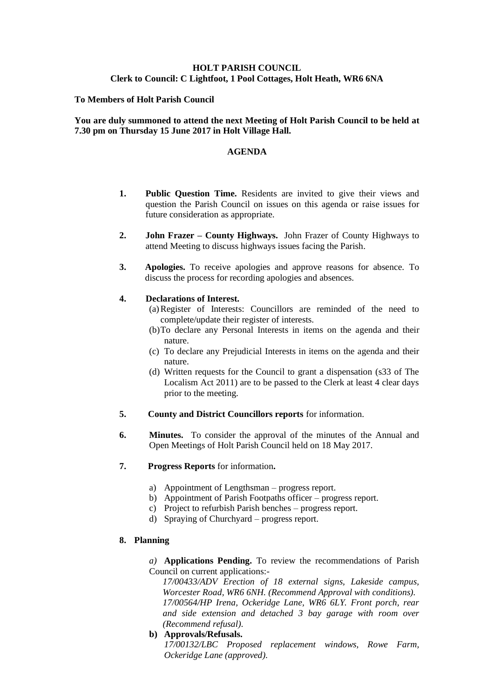# **HOLT PARISH COUNCIL Clerk to Council: C Lightfoot, 1 Pool Cottages, Holt Heath, WR6 6NA**

### **To Members of Holt Parish Council**

### **You are duly summoned to attend the next Meeting of Holt Parish Council to be held at 7.30 pm on Thursday 15 June 2017 in Holt Village Hall.**

#### **AGENDA**

- **1. Public Question Time.** Residents are invited to give their views and question the Parish Council on issues on this agenda or raise issues for future consideration as appropriate.
- **2. John Frazer – County Highways.** John Frazer of County Highways to attend Meeting to discuss highways issues facing the Parish.
- **3. Apologies.** To receive apologies and approve reasons for absence. To discuss the process for recording apologies and absences.

#### **4. Declarations of Interest.**

- (a)Register of Interests: Councillors are reminded of the need to complete/update their register of interests.
- (b)To declare any Personal Interests in items on the agenda and their nature.
- (c) To declare any Prejudicial Interests in items on the agenda and their nature.
- (d) Written requests for the Council to grant a dispensation (s33 of The Localism Act 2011) are to be passed to the Clerk at least 4 clear days prior to the meeting.
- **5. County and District Councillors reports** for information.
- **6. Minutes.** To consider the approval of the minutes of the Annual and Open Meetings of Holt Parish Council held on 18 May 2017.
- **7. Progress Reports** for information**.**
	- a) Appointment of Lengthsman progress report.
	- b) Appointment of Parish Footpaths officer progress report.
	- c) Project to refurbish Parish benches progress report.
	- d) Spraying of Churchyard progress report.

### **8. Planning**

*a)* **Applications Pending.** To review the recommendations of Parish Council on current applications:-

*17/00433/ADV Erection of 18 external signs, Lakeside campus, Worcester Road, WR6 6NH. (Recommend Approval with conditions). 17/00564/HP Irena, Ockeridge Lane, WR6 6LY. Front porch, rear and side extension and detached 3 bay garage with room over (Recommend refusal).*

**b) Approvals/Refusals.**

*17/00132/LBC Proposed replacement windows, Rowe Farm, Ockeridge Lane (approved).*